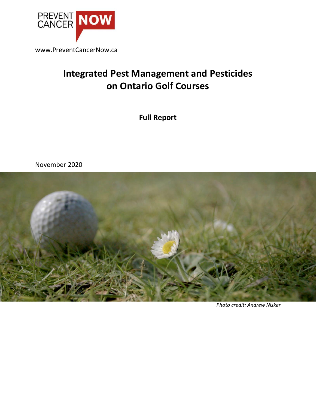

www.PreventCancerNow.ca

# **Integrated Pest Management and Pesticides on Ontario Golf Courses**

**Full Report**

November 2020

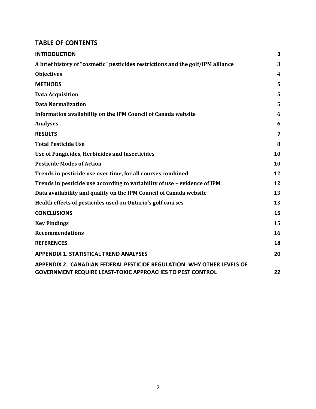#### **TABLE OF CONTENTS**

| <b>INTRODUCTION</b>                                                                                                                        | 3              |
|--------------------------------------------------------------------------------------------------------------------------------------------|----------------|
| A brief history of "cosmetic" pesticides restrictions and the golf/IPM alliance                                                            | 3              |
| <b>Objectives</b>                                                                                                                          | 4              |
| <b>METHODS</b>                                                                                                                             | 5              |
| <b>Data Acquisition</b>                                                                                                                    | 5              |
| <b>Data Normalization</b>                                                                                                                  | 5              |
| Information availability on the IPM Council of Canada website                                                                              | 6              |
| <b>Analyses</b>                                                                                                                            | 6              |
| <b>RESULTS</b>                                                                                                                             | $\overline{7}$ |
| <b>Total Pesticide Use</b>                                                                                                                 | 8              |
| Use of Fungicides, Herbicides and Insecticides                                                                                             | 10             |
| <b>Pesticide Modes of Action</b>                                                                                                           | 10             |
| Trends in pesticide use over time, for all courses combined                                                                                | 12             |
| Trends in pesticide use according to variability of use - evidence of IPM                                                                  | 12             |
| Data availability and quality on the IPM Council of Canada website                                                                         | 13             |
| Health effects of pesticides used on Ontario's golf courses                                                                                | 13             |
| <b>CONCLUSIONS</b>                                                                                                                         | 15             |
| <b>Key Findings</b>                                                                                                                        | 15             |
| <b>Recommendations</b>                                                                                                                     | 16             |
| <b>REFERENCES</b>                                                                                                                          | 18             |
| <b>APPENDIX 1. STATISTICAL TREND ANALYSES</b>                                                                                              | 20             |
| APPENDIX 2. CANADIAN FEDERAL PESTICIDE REGULATION: WHY OTHER LEVELS OF<br><b>GOVERNMENT REQUIRE LEAST-TOXIC APPROACHES TO PEST CONTROL</b> | 22             |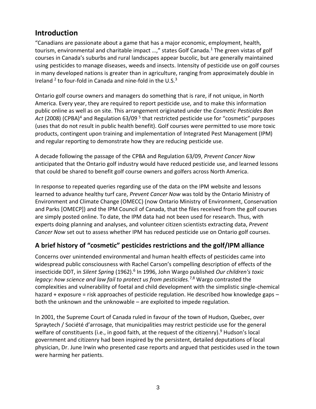# **Introduction**

"Canadians are passionate about a game that has a major economic, employment, health, tourism, environmental and charitable impact ...," states Golf Canada.<sup>1</sup> The green vistas of golf courses in Canada's suburbs and rural landscapes appear bucolic, but are generally maintained using pesticides to manage diseases, weeds and insects. Intensity of pesticide use on golf courses in many developed nations is greater than in agriculture, ranging from approximately double in Ireland  $2$  to four-fold in Canada and nine-fold in the U.S. $3$ 

Ontario golf course owners and managers do something that is rare, if not unique, in North America. Every year, they are required to report pesticide use, and to make this information public online as well as on site. This arrangement originated under the *Cosmetic Pesticides Ban*  Act (2008) (CPBA)<sup>4</sup> and Regulation 63/09<sup>5</sup> that restricted pesticide use for "cosmetic" purposes (uses that do not result in public health benefit). Golf courses were permitted to use more toxic products, contingent upon training and implementation of Integrated Pest Management (IPM) and regular reporting to demonstrate how they are reducing pesticide use.

A decade following the passage of the CPBA and Regulation 63/09, *Prevent Cancer Now* anticipated that the Ontario golf industry would have reduced pesticide use, and learned lessons that could be shared to benefit golf course owners and golfers across North America.

In response to repeated queries regarding use of the data on the IPM website and lessons learned to advance healthy turf care, *Prevent Cancer Now* was told by the Ontario Ministry of Environment and Climate Change (OMECC) (now Ontario Ministry of Environment, Conservation and Parks [OMECP]) and the IPM Council of Canada, that the files received from the golf courses are simply posted online. To date, the IPM data had not been used for research. Thus, with experts doing planning and analyses, and volunteer citizen scientists extracting data, *Prevent Cancer Now* set out to assess whether IPM has reduced pesticide use on Ontario golf courses.

### **A brief history of "cosmetic" pesticides restrictions and the golf/IPM alliance**

Concerns over unintended environmental and human health effects of pesticides came into widespread public consciousness with Rachel Carson's compelling description of effects of the insecticide DDT, in Silent Spring (1962).<sup>6</sup> In 1996, John Wargo published *Our children's toxic legacy: how science and law fail to protect us from pesticides.*7,8 Wargo contrasted the complexities and vulnerability of foetal and child development with the simplistic single-chemical hazard + exposure = risk approaches of pesticide regulation. He described how knowledge gaps – both the unknown and the unknowable – are exploited to impede regulation.

In 2001, the Supreme Court of Canada ruled in favour of the town of Hudson, Quebec, over Spraytech / Société d'arrosage, that municipalities may restrict pesticide use for the general welfare of constituents (i.e., in good faith, at the request of the citizenry).<sup>9</sup> Hudson's local government and citizenry had been inspired by the persistent, detailed deputations of local physician, Dr. June Irwin who presented case reports and argued that pesticides used in the town were harming her patients.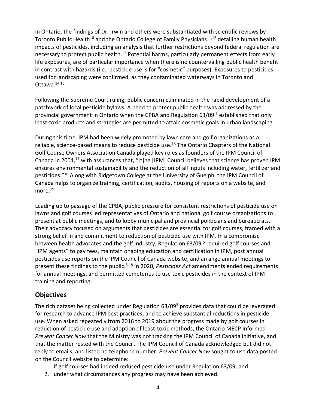In Ontario, the findings of Dr. Irwin and others were substantiated with scientific reviews by Toronto Public Health<sup>10</sup> and the Ontario College of Family Physicians<sup>11,12</sup> detailing human health impacts of pesticides, including an analysis that further restrictions beyond federal regulation are necessary to protect public health.<sup>13</sup> Potential harms, particularly permanent effects from early life exposures, are of particular importance when there is no countervailing public health benefit in contrast with hazards (i.e., pesticide use is for "cosmetic" purposes). Exposures to pesticides used for landscaping were confirmed, as they contaminated waterways in Toronto and Ottawa.14,15

Following the Supreme Court ruling, public concern culminated in the rapid development of a patchwork of local pesticide bylaws. A need to protect public health was addressed by the provincial government in Ontario when the CPBA and Regulation 63/09 <sup>5</sup> established that only least-toxic products and strategies are permitted to attain cosmetic goals in urban landscaping.

During this time, IPM had been widely promoted by lawn care and golf organizations as a reliable, science-based means to reduce pesticide use.<sup>16</sup> The Ontario Chapters of the National Golf Course Owners Association Canada played key roles as founders of the IPM Council of Canada in 2004,<sup>17</sup> with assurances that, "[t]he [IPM] Council believes that science has proven IPM ensures environmental sustainability and the reduction of all inputs including water, fertilizer and pesticides." <sup>18</sup> Along with Ridgetown College at the University of Guelph, the IPM Council of Canada helps to organize training, certification, audits, housing of reports on a website, and more.<sup>19</sup>

Leading up to passage of the CPBA, public pressure for consistent restrictions of pesticide use on lawns and golf courses led representatives of Ontario and national golf course organizations to present at public meetings, and to lobby municipal and provincial politicians and bureaucrats. Their advocacy focused on arguments that pesticides are essential for golf courses, framed with a strong belief in and commitment to reduction of pesticide use with IPM. In a compromise between health advocates and the golf industry, Regulation 63/09<sup>5</sup> required golf courses and "IPM agents" to pay fees, maintain ongoing education and certification in IPM, post annual pesticides use reports on the IPM Council of Canada website, and arrange annual meetings to present these findings to the public.5,18 In 2020, *Pesticides Act* amendments ended requirements for annual meetings, and permitted cemeteries to use toxic pesticides in the context of IPM training and reporting.

### **Objectives**

The rich dataset being collected under Regulation 63/09<sup>5</sup> provides data that could be leveraged for research to advance IPM best practices, and to achieve substantial reductions in pesticide use. When asked repeatedly from 2016 to 2019 about the progress made by golf courses in reduction of pesticide use and adoption of least-toxic methods, the Ontario MECP informed *Prevent Cancer Now* that the Ministry was not tracking the IPM Council of Canada initiative, and that the matter rested with the Council. The IPM Council of Canada acknowledged but did not reply to emails, and listed no telephone number. *Prevent Cancer Now* sought to use data posted on the Council website to determine:

- 1. if golf courses had indeed reduced pesticide use under Regulation 63/09; and
- 2. under what circumstances any progress may have been achieved.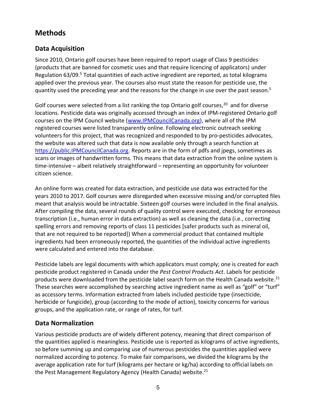# **Methods**

### **Data Acquisition**

Since 2010, Ontario golf courses have been required to report usage of Class 9 pesticides (products that are banned for cosmetic uses and that require licencing of applicators) under Regulation 63/09.<sup>5</sup> Total quantities of each active ingredient are reported, as total kilograms applied over the previous year. The courses also must state the reason for pesticide use, the quantity used the preceding year and the reasons for the change in use over the past season.<sup>5</sup>

Golf courses were selected from a list ranking the top Ontario golf courses,<sup>20</sup> and for diverse locations. Pesticide data was originally accessed through an index of IPM-registered Ontario golf courses on the IPM Council website [\(www.IPMCouncilCanada.org\)](http://www.ipmcouncilcanada.org/), where all of the IPM registered courses were listed transparently online. Following electronic outreach seeking volunteers for this project, that was recognized and responded to by pro-pesticides advocates, the website was altered such that data is now available only through a search function at [https://public.IPMCouncilCanada.org.](https://public.ipmcouncilcanada.org/) Reports are in the form of pdfs and jpegs, sometimes as scans or images of handwritten forms. This means that data extraction from the online system is time-intensive – albeit relatively straightforward – representing an opportunity for volunteer citizen science.

An online form was created for data extraction, and pesticide use data was extracted for the years 2010 to 2017. Golf courses were disregarded when excessive missing and/or corrupted files meant that analysis would be intractable. Sixteen golf courses were included in the final analysis. After compiling the data, several rounds of quality control were executed, checking for erroneous transcription (i.e., human error in data extraction) as well as cleaning the data (i.e., correcting spelling errors and removing reports of class 11 pesticides [safer products such as mineral oil, that are not required to be reported]) When a commercial product that contained multiple ingredients had been erroneously reported, the quantities of the individual active ingredients were calculated and entered into the database.

Pesticide labels are legal documents with which applicators must comply; one is created for each pesticide product registered in Canada under the *Pest Control Products Act*. Labels for pesticide products were downloaded from the pesticide label search form on the Health Canada website.<sup>21</sup> These searches were accomplished by searching active ingredient name as well as "golf" or "turf" as accessory terms. Information extracted from labels included pesticide type (insecticide, herbicide or fungicide), group (according to the mode of action), toxicity concerns for various groups, and the application rate, or range of rates, for turf.

### **Data Normalization**

Various pesticide products are of widely different potency, meaning that direct comparison of the quantities applied is meaningless. Pesticide use is reported as kilograms of active ingredients, so before summing up and comparing use of numerous pesticides the quantities applied were normalized according to potency. To make fair comparisons, we divided the kilograms by the average application rate for turf (kilograms per hectare or kg/ha) according to official labels on the Pest Management Regulatory Agency (Health Canada) website.<sup>21</sup>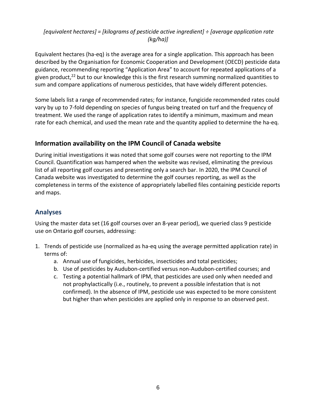#### *[equivalent hectares] = [kilograms of pesticide active ingredient] ÷ [average application rate (kg/ha)]*

Equivalent hectares (ha-eq) is the average area for a single application. This approach has been described by the Organisation for Economic Cooperation and Development (OECD) pesticide data guidance, recommending reporting "Application Area" to account for repeated applications of a given product,<sup>22</sup> but to our knowledge this is the first research summing normalized quantities to sum and compare applications of numerous pesticides, that have widely different potencies.

Some labels list a range of recommended rates; for instance, fungicide recommended rates could vary by up to 7-fold depending on species of fungus being treated on turf and the frequency of treatment. We used the range of application rates to identify a minimum, maximum and mean rate for each chemical, and used the mean rate and the quantity applied to determine the ha-eq.

### **Information availability on the IPM Council of Canada website**

During initial investigations it was noted that some golf courses were not reporting to the IPM Council. Quantification was hampered when the website was revised, eliminating the previous list of all reporting golf courses and presenting only a search bar. In 2020, the IPM Council of Canada website was investigated to determine the golf courses reporting, as well as the completeness in terms of the existence of appropriately labelled files containing pesticide reports and maps.

### **Analyses**

Using the master data set (16 golf courses over an 8-year period), we queried class 9 pesticide use on Ontario golf courses, addressing:

- 1. Trends of pesticide use (normalized as ha-eq using the average permitted application rate) in terms of:
	- a. Annual use of fungicides, herbicides, insecticides and total pesticides;
	- b. Use of pesticides by Audubon-certified versus non-Audubon-certified courses; and
	- c. Testing a potential hallmark of IPM, that pesticides are used only when needed and not prophylactically (i.e., routinely, to prevent a possible infestation that is not confirmed). In the absence of IPM, pesticide use was expected to be more consistent but higher than when pesticides are applied only in response to an observed pest.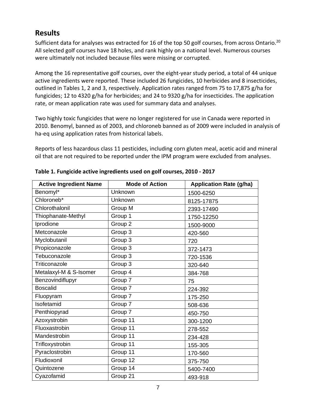# **Results**

Sufficient data for analyses was extracted for 16 of the top 50 golf courses, from across Ontario.<sup>20</sup> All selected golf courses have 18 holes, and rank highly on a national level. Numerous courses were ultimately not included because files were missing or corrupted.

Among the 16 representative golf courses, over the eight-year study period, a total of 44 unique active ingredients were reported. These included 26 fungicides, 10 herbicides and 8 insecticides, outlined in Tables 1, 2 and 3, respectively. Application rates ranged from 75 to 17,875 g/ha for fungicides; 12 to 4320 g/ha for herbicides; and 24 to 9320 g/ha for insecticides. The application rate, or mean application rate was used for summary data and analyses.

Two highly toxic fungicides that were no longer registered for use in Canada were reported in 2010. Benomyl, banned as of 2003, and chloroneb banned as of 2009 were included in analysis of ha-eq using application rates from historical labels.

Reports of less hazardous class 11 pesticides, including corn gluten meal, acetic acid and mineral oil that are not required to be reported under the IPM program were excluded from analyses.

| <b>Active Ingredient Name</b> | <b>Mode of Action</b> | <b>Application Rate (g/ha)</b> |
|-------------------------------|-----------------------|--------------------------------|
| Benomyl*                      | Unknown               | 1500-6250                      |
| Chloroneb*                    | Unknown               | 8125-17875                     |
| Chlorothalonil                | Group M               | 2393-17490                     |
| Thiophanate-Methyl            | Group 1               | 1750-12250                     |
| Iprodione                     | Group 2               | 1500-9000                      |
| Metconazole                   | Group 3               | 420-560                        |
| Myclobutanil                  | Group 3               | 720                            |
| Propiconazole                 | Group 3               | 372-1473                       |
| Tebuconazole                  | Group 3               | 720-1536                       |
| Triticonazole                 | Group 3               | 320-640                        |
| Metalaxyl-M & S-Isomer        | Group 4               | 384-768                        |
| Benzovindiflupyr              | Group 7               | 75                             |
| <b>Boscalid</b>               | Group 7               | 224-392                        |
| Fluopyram                     | Group 7               | 175-250                        |
| Isofetamid                    | Group 7               | 508-636                        |
| Penthiopyrad                  | Group 7               | 450-750                        |
| Azoxystrobin                  | Group 11              | 300-1200                       |
| Fluoxastrobin                 | Group 11              | 278-552                        |
| Mandestrobin                  | Group 11              | 234-428                        |
| Trifloxystrobin               | Group 11              | 155-305                        |
| Pyraclostrobin                | Group 11              | 170-560                        |
| Fludioxonil                   | Group 12              | 375-750                        |
| Quintozene                    | Group 14              | 5400-7400                      |
| Cyazofamid                    | Group 21              | 493-918                        |

**Table 1. Fungicide active ingredients used on golf courses, 2010 - 2017**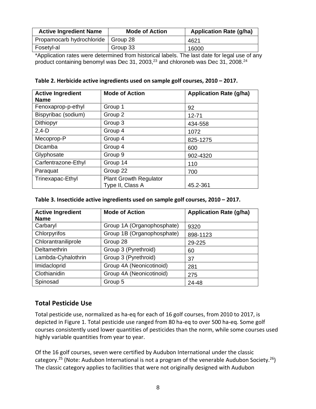| <b>Active Ingredient Name</b>        | <b>Mode of Action</b> | <b>Application Rate (g/ha)</b> |
|--------------------------------------|-----------------------|--------------------------------|
| Propamocarb hydrochloride   Group 28 |                       | 4621                           |
| Fosetyl-al                           | Group 33              | 16000                          |

\*Application rates were determined from historical labels. The last date for legal use of any product containing benomyl was Dec 31, 2003, $^{23}$  and chloroneb was Dec 31, 2008. $^{24}$ 

#### **Table 2. Herbicide active ingredients used on sample golf courses, 2010 – 2017.**

| <b>Active Ingredient</b><br><b>Name</b> | <b>Mode of Action</b>                             | <b>Application Rate (g/ha)</b> |
|-----------------------------------------|---------------------------------------------------|--------------------------------|
| Fenoxaprop-p-ethyl                      | Group 1                                           | 92                             |
| Bispyribac (sodium)                     | Group 2                                           | $12 - 71$                      |
| Dithiopyr                               | Group 3                                           | 434-558                        |
| $2,4-D$                                 | Group 4                                           | 1072                           |
| Mecoprop-P                              | Group 4                                           | 825-1275                       |
| Dicamba                                 | Group 4                                           | 600                            |
| Glyphosate                              | Group 9                                           | 902-4320                       |
| Carfentrazone-Ethyl                     | Group 14                                          | 110                            |
| Paraquat                                | Group 22                                          | 700                            |
| Trinexapac-Ethyl                        | <b>Plant Growth Regulator</b><br>Type II, Class A | 45.2-361                       |

#### Table 3. Insecticide active ingredients used on sample golf courses, 2010 - 2017.

| <b>Active Ingredient</b><br><b>Name</b> | <b>Mode of Action</b>      | <b>Application Rate (g/ha)</b> |
|-----------------------------------------|----------------------------|--------------------------------|
| Carbaryl                                | Group 1A (Organophosphate) | 9320                           |
| Chlorpyrifos                            | Group 1B (Organophosphate) | 898-1123                       |
| Chlorantraniliprole                     | Group 28                   | 29-225                         |
| <b>Deltamethrin</b>                     | Group 3 (Pyrethroid)       | 60                             |
| Lambda-Cyhalothrin                      | Group 3 (Pyrethroid)       | 37                             |
| Imidacloprid                            | Group 4A (Neonicotinoid)   | 281                            |
| Clothianidin                            | Group 4A (Neonicotinoid)   | 275                            |
| Spinosad                                | Group 5                    | 24-48                          |

#### **Total Pesticide Use**

Total pesticide use, normalized as ha-eq for each of 16 golf courses, from 2010 to 2017, is depicted in Figure 1. Total pesticide use ranged from 80 ha-eq to over 500 ha-eq. Some golf courses consistently used lower quantities of pesticides than the norm, while some courses used highly variable quantities from year to year.

Of the 16 golf courses, seven were certified by Audubon International under the classic category.<sup>25</sup> (Note: Audubon International is not a program of the venerable Audubon Society.<sup>26</sup>) The classic category applies to facilities that were not originally designed with Audubon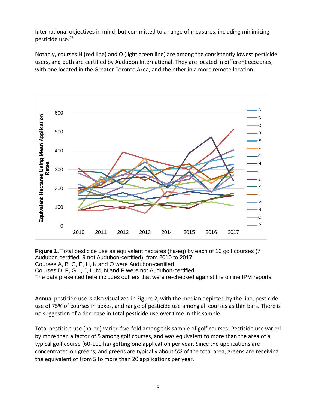International objectives in mind, but committed to a range of measures, including minimizing pesticide use.<sup>25</sup>

Notably, courses H (red line) and O (light green line) are among the consistently lowest pesticide users, and both are certified by Audubon International. They are located in different ecozones, with one located in the Greater Toronto Area, and the other in a more remote location.



**Figure 1.** Total pesticide use as equivalent hectares (ha-eq) by each of 16 golf courses (7 Audubon certified; 9 not Audubon-certified), from 2010 to 2017.

Courses A, B, C, E, H, K and O were Audubon-certified.

Courses D, F, G, I, J, L, M, N and P were not Audubon-certified.

The data presented here includes outliers that were re-checked against the online IPM reports.

Annual pesticide use is also visualized in Figure 2, with the median depicted by the line, pesticide use of 75% of courses in boxes, and range of pesticide use among all courses as thin bars. There is no suggestion of a decrease in total pesticide use over time in this sample.

Total pesticide use (ha-eq) varied five-fold among this sample of golf courses. Pesticide use varied by more than a factor of 5 among golf courses, and was equivalent to more than the area of a typical golf course (60-100 ha) getting one application per year. Since the applications are concentrated on greens, and greens are typically about 5% of the total area, greens are receiving the equivalent of from 5 to more than 20 applications per year.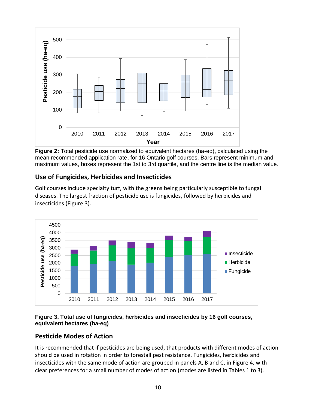

**Figure 2:** Total pesticide use normalized to equivalent hectares (ha-eq), calculated using the mean recommended application rate, for 16 Ontario golf courses. Bars represent minimum and maximum values, boxes represent the 1st to 3rd quartile, and the centre line is the median value.

### **Use of Fungicides, Herbicides and Insecticides**

Golf courses include specialty turf, with the greens being particularly susceptible to fungal diseases. The largest fraction of pesticide use is fungicides, followed by herbicides and insecticides (Figure 3).



#### **Figure 3. Total use of fungicides, herbicides and insecticides by 16 golf courses, equivalent hectares (ha-eq)**

### **Pesticide Modes of Action**

It is recommended that if pesticides are being used, that products with different modes of action should be used in rotation in order to forestall pest resistance. Fungicides, herbicides and insecticides with the same mode of action are grouped in panels A, B and C, in Figure 4, with clear preferences for a small number of modes of action (modes are listed in Tables 1 to 3).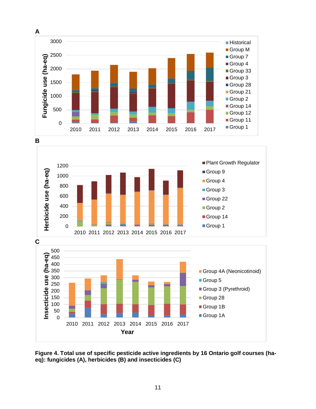





Group 1B Group 1A

2010 2011 2012 2013 2014 2015 2016 2017

**Year**

0 50 100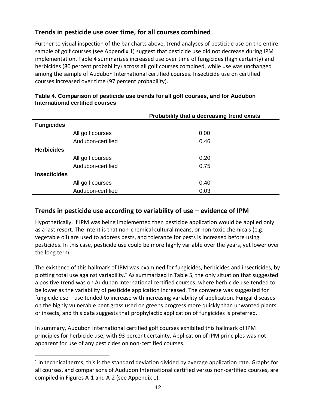### **Trends in pesticide use over time, for all courses combined**

Further to visual inspection of the bar charts above, trend analyses of pesticide use on the entire sample of golf courses (see Appendix 1) suggest that pesticide use did not decrease during IPM implementation. Table 4 summarizes increased use over time of fungicides (high certainty) and herbicides (80 percent probability) across all golf courses combined, while use was unchanged among the sample of Audubon International certified courses. Insecticide use on certified courses increased over time (97 percent probability).

|                     |                   | Probability that a decreasing trend exists |
|---------------------|-------------------|--------------------------------------------|
| <b>Fungicides</b>   |                   |                                            |
|                     | All golf courses  | 0.00                                       |
|                     | Audubon-certified | 0.46                                       |
| <b>Herbicides</b>   |                   |                                            |
|                     | All golf courses  | 0.20                                       |
|                     | Audubon-certified | 0.75                                       |
| <b>Insecticides</b> |                   |                                            |
|                     | All golf courses  | 0.40                                       |
|                     | Audubon-certified | 0.03                                       |

#### **Table 4. Comparison of pesticide use trends for all golf courses, and for Audubon International certified courses**

### **Trends in pesticide use according to variability of use – evidence of IPM**

Hypothetically, if IPM was being implemented then pesticide application would be applied only as a last resort. The intent is that non-chemical cultural means, or non-toxic chemicals (e.g. vegetable oil) are used to address pests, and tolerance for pests is increased before using pesticides. In this case, pesticide use could be more highly variable over the years, yet lower over the long term.

The existence of this hallmark of IPM was examined for fungicides, herbicides and insecticides, by plotting total use against variability. \* As summarized in Table 5, the only situation that suggested a positive trend was on Audubon International certified courses, where herbicide use tended to be lower as the variability of pesticide application increased. The converse was suggested for fungicide use – use tended to increase with increasing variability of application. Fungal diseases on the highly vulnerable bent grass used on greens progress more quickly than unwanted plants or insects, and this data suggests that prophylactic application of fungicides is preferred.

In summary, Audubon International certified golf courses exhibited this hallmark of IPM principles for herbicide use, with 93 percent certainty. Application of IPM principles was not apparent for use of any pesticides on non-certified courses.

<sup>\*</sup> In technical terms, this is the standard deviation divided by average application rate. Graphs for all courses, and comparisons of Audubon International certified versus non-certified courses, are compiled in Figures A-1 and A-2 (see Appendix 1).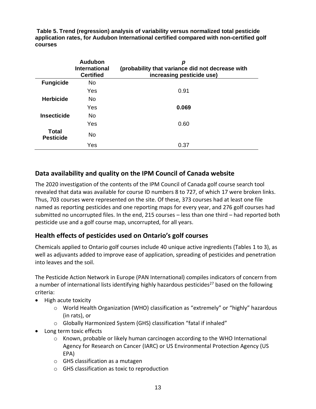**Table 5. Trend (regression) analysis of variability versus normalized total pesticide application rates, for Audubon International certified compared with non-certified golf courses**

|                                  | Audubon<br><b>International</b><br><b>Certified</b> | р<br>(probability that variance did not decrease with<br>increasing pesticide use) |
|----------------------------------|-----------------------------------------------------|------------------------------------------------------------------------------------|
| <b>Fungicide</b>                 | <b>No</b>                                           |                                                                                    |
|                                  | Yes                                                 | 0.91                                                                               |
| <b>Herbicide</b>                 | No.                                                 |                                                                                    |
|                                  | Yes                                                 | 0.069                                                                              |
| <b>Insecticide</b>               | No.                                                 |                                                                                    |
|                                  | Yes                                                 | 0.60                                                                               |
| <b>Total</b><br><b>Pesticide</b> | <b>No</b>                                           |                                                                                    |
|                                  | Yes                                                 | 0.37                                                                               |

### **Data availability and quality on the IPM Council of Canada website**

The 2020 investigation of the contents of the IPM Council of Canada golf course search tool revealed that data was available for course ID numbers 8 to 727, of which 17 were broken links. Thus, 703 courses were represented on the site. Of these, 373 courses had at least one file named as reporting pesticides and one reporting maps for every year, and 276 golf courses had submitted no uncorrupted files. In the end, 215 courses – less than one third – had reported both pesticide use and a golf course map, uncorrupted, for all years.

#### **Health effects of pesticides used on Ontario's golf courses**

Chemicals applied to Ontario golf courses include 40 unique active ingredients (Tables 1 to 3), as well as adjuvants added to improve ease of application, spreading of pesticides and penetration into leaves and the soil.

The Pesticide Action Network in Europe (PAN International) compiles indicators of concern from a number of international lists identifying highly hazardous pesticides<sup>27</sup> based on the following criteria:

- High acute toxicity
	- o World Health Organization (WHO) classification as "extremely" or "highly" hazardous (in rats), or
	- o Globally Harmonized System (GHS) classification "fatal if inhaled"
- Long term toxic effects
	- $\circ$  Known, probable or likely human carcinogen according to the WHO International Agency for Research on Cancer (IARC) or US Environmental Protection Agency (US EPA)
	- o GHS classification as a mutagen
	- o GHS classification as toxic to reproduction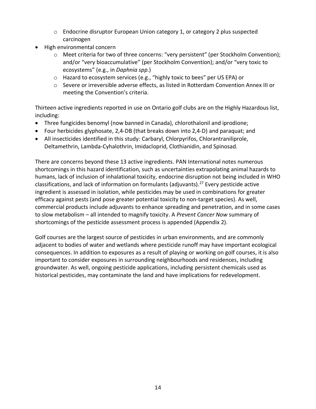- $\circ$  Endocrine disruptor European Union category 1, or category 2 plus suspected carcinogen
- High environmental concern
	- o Meet criteria for two of three concerns: "very persistent" (per Stockholm Convention); and/or "very bioaccumulative" (per Stockholm Convention); and/or "very toxic to ecosystems" (e.g., in *Daphnia spp.*)
	- o Hazard to ecosystem services (e.g., "highly toxic to bees" per US EPA) or
	- o Severe or irreversible adverse effects, as listed in Rotterdam Convention Annex III or meeting the Convention's criteria.

Thirteen active ingredients reported in use on Ontario golf clubs are on the Highly Hazardous list, including:

- Three fungicides benomyl (now banned in Canada), chlorothalonil and iprodione;
- Four herbicides glyphosate, 2,4-DB (that breaks down into 2,4-D) and paraquat; and
- All insecticides identified in this study: Carbaryl, Chlorpyrifos, Chlorantraniliprole, Deltamethrin, Lambda-Cyhalothrin, Imidacloprid, Clothianidin, and Spinosad.

There are concerns beyond these 13 active ingredients. PAN International notes numerous shortcomings in this hazard identification, such as uncertainties extrapolating animal hazards to humans, lack of inclusion of inhalational toxicity, endocrine disruption not being included in WHO classifications, and lack of information on formulants (adjuvants).<sup>27</sup> Every pesticide active ingredient is assessed in isolation, while pesticides may be used in combinations for greater efficacy against pests (and pose greater potential toxicity to non-target species). As well, commercial products include adjuvants to enhance spreading and penetration, and in some cases to slow metabolism – all intended to magnify toxicity. A *Prevent Cancer Now* summary of shortcomings of the pesticide assessment process is appended (Appendix 2).

Golf courses are the largest source of pesticides in urban environments, and are commonly adjacent to bodies of water and wetlands where pesticide runoff may have important ecological consequences. In addition to exposures as a result of playing or working on golf courses, it is also important to consider exposures in surrounding neighbourhoods and residences, including groundwater. As well, ongoing pesticide applications, including persistent chemicals used as historical pesticides, may contaminate the land and have implications for redevelopment.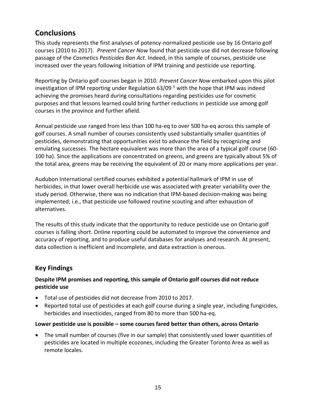# **Conclusions**

This study represents the first analyses of potency-normalized pesticide use by 16 Ontario golf courses (2010 to 2017). *Prevent Cancer Now* found that pesticide use did not decrease following passage of the *Cosmetics Pesticides Ban Act*. Indeed, in this sample of courses, pesticide use increased over the years following initiation of IPM training and pesticide use reporting.

Reporting by Ontario golf courses began in 2010. *Prevent Cancer Now* embarked upon this pilot investigation of IPM reporting under Regulation 63/09 <sup>5</sup> with the hope that IPM was indeed achieving the promises heard during consultations regarding pesticides use for cosmetic purposes and that lessons learned could bring further reductions in pesticide use among golf courses in the province and further afield.

Annual pesticide use ranged from less than 100 ha-eq to over 500 ha-eq across this sample of golf courses. A small number of courses consistently used substantially smaller quantities of pesticides, demonstrating that opportunities exist to advance the field by recognizing and emulating successes. The hectare equivalent was more than the area of a typical golf course (60- 100 ha). Since the applications are concentrated on greens, and greens are typically about 5% of the total area, greens may be receiving the equivalent of 20 or many more applications per year.

Audubon International certified courses exhibited a potential hallmark of IPM in use of herbicides, in that lower overall herbicide use was associated with greater variability over the study period. Otherwise, there was no indication that IPM-based decision-making was being implemented; i.e., that pesticide use followed routine scouting and after exhaustion of alternatives.

The results of this study indicate that the opportunity to reduce pesticide use on Ontario golf courses is falling short. Online reporting could be automated to improve the convenience and accuracy of reporting, and to produce useful databases for analyses and research. At present, data collection is inefficient and incomplete, and data extraction is onerous.

### **Key Findings**

#### **Despite IPM promises and reporting, this sample of Ontario golf courses did not reduce pesticide use**

- Total use of pesticides did not decrease from 2010 to 2017.
- Reported total use of pesticides at each golf course during a single year, including fungicides, herbicides and insecticides, ranged from 80 to more than 500 ha-eq.

#### **Lower pesticide use is possible – some courses fared better than others, across Ontario**

• The small number of courses (five in our sample) that consistently used lower quantities of pesticides are located in multiple ecozones, including the Greater Toronto Area as well as remote locales.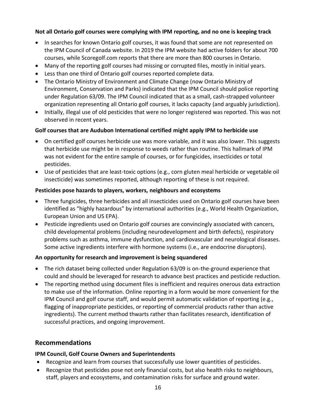#### **Not all Ontario golf courses were complying with IPM reporting, and no one is keeping track**

- In searches for known Ontario golf courses, it was found that some are not represented on the IPM Council of Canada website. In 2019 the IPM website had active folders for about 700 courses, while Scoregolf.com reports that there are more than 800 courses in Ontario.
- Many of the reporting golf courses had missing or corrupted files, mostly in initial years.
- Less than one third of Ontario golf courses reported complete data.
- The Ontario Ministry of Environment and Climate Change (now Ontario Ministry of Environment, Conservation and Parks) indicated that the IPM Council should police reporting under Regulation 63/09. The IPM Council indicated that as a small, cash-strapped volunteer organization representing all Ontario golf courses, it lacks capacity (and arguably jurisdiction).
- Initially, illegal use of old pesticides that were no longer registered was reported. This was not observed in recent years.

#### **Golf courses that are Audubon International certified might apply IPM to herbicide use**

- On certified golf courses herbicide use was more variable, and it was also lower. This suggests that herbicide use might be in response to weeds rather than routine. This hallmark of IPM was not evident for the entire sample of courses, or for fungicides, insecticides or total pesticides.
- Use of pesticides that are least-toxic options (e.g., corn gluten meal herbicide or vegetable oil insecticide) was sometimes reported, although reporting of these is not required.

#### **Pesticides pose hazards to players, workers, neighbours and ecosystems**

- Three fungicides, three herbicides and all insecticides used on Ontario golf courses have been identified as "highly hazardous" by international authorities (e.g., World Health Organization, European Union and US EPA).
- Pesticide ingredients used on Ontario golf courses are convincingly associated with cancers, child developmental problems (including neurodevelopment and birth defects), respiratory problems such as asthma, immune dysfunction, and cardiovascular and neurological diseases. Some active ingredients interfere with hormone systems (i.e., are endocrine disruptors).

#### **An opportunity for research and improvement is being squandered**

- The rich dataset being collected under Regulation 63/09 is on-the-ground experience that could and should be leveraged for research to advance best practices and pesticide reduction.
- The reporting method using document files is inefficient and requires onerous data extraction to make use of the information. Online reporting in a form would be more convenient for the IPM Council and golf course staff, and would permit automatic validation of reporting (e.g., flagging of inappropriate pesticides, or reporting of commercial products rather than active ingredients). The current method thwarts rather than facilitates research, identification of successful practices, and ongoing improvement.

### **Recommendations**

#### **IPM Council, Golf Course Owners and Superintendents**

- Recognize and learn from courses that successfully use lower quantities of pesticides.
- Recognize that pesticides pose not only financial costs, but also health risks to neighbours, staff, players and ecosystems, and contamination risks for surface and ground water.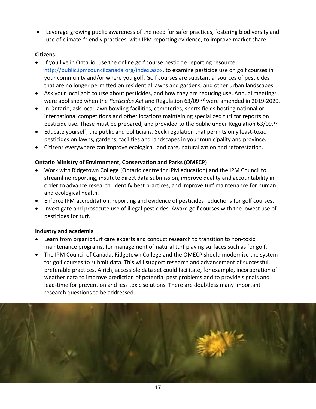• Leverage growing public awareness of the need for safer practices, fostering biodiversity and use of climate-friendly practices, with IPM reporting evidence, to improve market share.

#### **Citizens**

- If you live in Ontario, use the [online golf course pesticide reporting resource,](http://public.ipmcouncilcanada.org/index.aspx) [http://public.ipmcouncilcanada.org/index.aspx,](http://public.ipmcouncilcanada.org/index.aspx) to examine pesticide use on golf courses in your community and/or where you golf. Golf courses are substantial sources of pesticides that are no longer permitted on residential lawns and gardens, and other urban landscapes.
- Ask your local golf course about pesticides, and how they are reducing use. Annual meetings were abolished when the *Pesticides Act* and Regulation 63/09 <sup>28</sup> were amended in 2019-2020.
- In Ontario, ask local lawn bowling facilities, cemeteries, sports fields hosting national or international competitions and other locations maintaining specialized turf for reports on pesticide use. These must be prepared, and provided to the public under Regulation 63/09.<sup>28</sup>
- Educate yourself, the public and politicians. Seek regulation that permits only least-toxic pesticides on lawns, gardens, facilities and landscapes in your municipality and province.
- Citizens everywhere can improve ecological land care, naturalization and reforestation.

#### **Ontario Ministry of Environment, Conservation and Parks (OMECP)**

- Work with Ridgetown College (Ontario centre for IPM education) and the IPM Council to streamline reporting, institute direct data submission, improve quality and accountability in order to advance research, identify best practices, and improve turf maintenance for human and ecological health.
- Enforce IPM accreditation, reporting and evidence of pesticides reductions for golf courses.
- Investigate and prosecute use of illegal pesticides. Award golf courses with the lowest use of pesticides for turf.

#### **Industry and academia**

- Learn from organic turf care experts and conduct research to transition to non-toxic maintenance programs, for management of natural turf playing surfaces such as for golf.
- The IPM Council of Canada, Ridgetown College and the OMECP should modernize the system for golf courses to submit data. This will support research and advancement of successful, preferable practices. A rich, accessible data set could facilitate, for example, incorporation of weather data to improve prediction of potential pest problems and to provide signals and lead-time for prevention and less toxic solutions. There are doubtless many important research questions to be addressed.

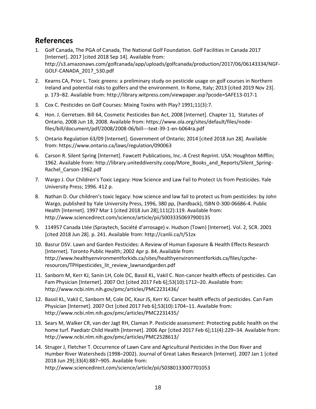# **References**

- 1. Golf Canada, The PGA of Canada, The National Golf Foundation. Golf Facilities in Canada 2017 [Internet]. 2017 [cited 2018 Sep 14]. Available from: http://s3.amazonaws.com/golfcanada/app/uploads/golfcanada/production/2017/06/06143334/NGF-GOLF-CANADA\_2017\_530.pdf
- 2. Kearns CA, Prior L. Toxic greens: a preliminary study on pesticide usage on golf courses in Northern Ireland and potential risks to golfers and the environment. In Rome, Italy; 2013 [cited 2019 Nov 23]. p. 173–82. Available from: http://library.witpress.com/viewpaper.asp?pcode=SAFE13-017-1
- 3. Cox C. Pesticides on Golf Courses: Mixing Toxins with Play? 1991;11(3):7.
- 4. Hon. J. Gerretsen. Bill 64, Cosmetic Pesticides Ban Act, 2008 [Internet]. Chapter 11, Statutes of Ontario, 2008 Jun 18, 2008. Available from: https://www.ola.org/sites/default/files/nodefiles/bill/document/pdf/2008/2008-06/bill---text-39-1-en-b064ra.pdf
- 5. Ontario Regulation 63/09 [Internet]. Government of Ontario; 2014 [cited 2018 Jun 28]. Available from: https://www.ontario.ca/laws/regulation/090063
- 6. Carson R. Silent Spring [Internet]. Fawcett Publications, Inc.-A Crest Reprint. USA: Houghton Mifflin; 1962. Available from: http://library.uniteddiversity.coop/More\_Books\_and\_Reports/Silent\_Spring-Rachel\_Carson-1962.pdf
- 7. Wargo J. Our Children's Toxic Legacy: How Science and Law Fail to Protect Us from Pesticides. Yale University Press; 1996. 412 p.
- 8. Nathan D. Our children's toxic legacy: how science and law fail to protect us from pesticides: by John Wargo, published by Yale University Press, 1996, 380 pp, (hardback), ISBN 0-300-06686-4. Public Health [Internet]. 1997 Mar 1 [cited 2018 Jun 28];111(2):119. Available from: http://www.sciencedirect.com/science/article/pii/S0033350697900135
- 9. 114957 Canada Ltée (Spraytech, Société d'arrosage) v. Hudson (Town) [Internet]. Vol. 2, SCR. 2001 [cited 2018 Jun 28]. p. 241. Available from: http://canlii.ca/t/51zx
- 10. Basrur DSV. Lawn and Garden Pesticides: A Review of Human Exposure & Health Effects Research [Internet]. Toronto Public Health; 2002 Apr p. 84. Available from: http://www.healthyenvironmentforkids.ca/sites/healthyenvironmentforkids.ca/files/cpcheresources/TPHpesticides\_lit\_review\_lawnandgarden.pdf
- 11. Sanborn M, Kerr KJ, Sanin LH, Cole DC, Bassil KL, Vakil C. Non-cancer health effects of pesticides. Can Fam Physician [Internet]. 2007 Oct [cited 2017 Feb 6];53(10):1712–20. Available from: http://www.ncbi.nlm.nih.gov/pmc/articles/PMC2231436/
- 12. Bassil KL, Vakil C, Sanborn M, Cole DC, Kaur JS, Kerr KJ. Cancer health effects of pesticides. Can Fam Physician [Internet]. 2007 Oct [cited 2017 Feb 6];53(10):1704–11. Available from: http://www.ncbi.nlm.nih.gov/pmc/articles/PMC2231435/
- 13. Sears M, Walker CR, van der Jagt RH, Claman P. Pesticide assessment: Protecting public health on the home turf. Paediatr Child Health [Internet]. 2006 Apr [cited 2017 Feb 6];11(4):229–34. Available from: http://www.ncbi.nlm.nih.gov/pmc/articles/PMC2528613/
- 14. Struger J, Fletcher T. Occurrence of Lawn Care and Agricultural Pesticides in the Don River and Humber River Watersheds (1998–2002). Journal of Great Lakes Research [Internet]. 2007 Jan 1 [cited 2018 Jun 29];33(4):887–905. Available from: http://www.sciencedirect.com/science/article/pii/S0380133007701053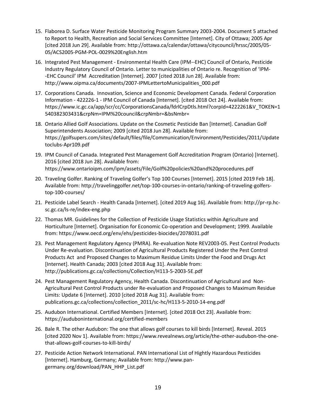- 15. Flaborea D. Surface Water Pesticide Monitoring Program Summary 2003-2004. Document 5 attached to Report to Health, Recreation and Social Services Committee [Internet]. City of Ottawa; 2005 Apr [cited 2018 Jun 29]. Available from: http://ottawa.ca/calendar/ottawa/citycouncil/hrssc/2005/05- 05/ACS2005-PGM-POL-0029%20English.htm
- 16. Integrated Pest Management Environmental Health Care (IPM--EHC) Council of Ontario, Pesticide Industry Regulatory Council of Ontario. Letter to municipalities of Ontario re. Recognition of 'IPM- -EHC Council' IPM Accreditation [Internet]. 2007 [cited 2018 Jun 28]. Available from: http://www.oipma.ca/documents/2007-IPMLettertoMunicipalities\_000.pdf
- 17. Corporations Canada. Innovation, Science and Economic Development Canada. Federal Corporation Information - 422226-1 - IPM Council of Canada [Internet]. [cited 2018 Oct 24]. Available from: https://www.ic.gc.ca/app/scr/cc/CorporationsCanada/fdrlCrpDtls.html?corpId=4222261&V\_TOKEN=1 540382303431&crpNm=IPM%20council&crpNmbr=&bsNmbr=
- 18. Ontario Allied Golf Associations. Update on the Cosmetic Pesticide Ban [Internet]. Canadian Golf Superintendents Association; 2009 [cited 2018 Jun 28]. Available from: https://golfsupers.com/sites/default/files/file/Communication/Environment/Pesticides/2011/Update toclubs-Apr109.pdf
- 19. IPM Council of Canada. Integrated Pest Management Golf Accreditation Program (Ontario) [Internet]. 2016 [cited 2018 Jun 28]. Available from: https://www.ontarioipm.com/ipm/assets/File/Golf%20policies%20and%20procedures.pdf
- 20. Traveling Golfer. Ranking of Traveling Golfer's Top 100 Courses [Internet]. 2015 [cited 2019 Feb 18]. Available from: http://travelinggolfer.net/top-100-courses-in-ontario/ranking-of-traveling-golferstop-100-courses/
- 21. Pesticide Label Search Health Canada [Internet]. [cited 2019 Aug 16]. Available from: http://pr-rp.hcsc.gc.ca/ls-re/index-eng.php
- 22. Thomas MR. Guidelines for the Collection of Pesticide Usage Statistics within Agriculture and Horticulture [Internet]. Organisation for Economic Co-operation and Development; 1999. Available from: https://www.oecd.org/env/ehs/pesticides-biocides/2078031.pdf
- 23. Pest Management Regulatory Agency (PMRA). Re-evaluation Note REV2003-05. Pest Control Products Under Re-evaluation. Discontinuation of Agricultural Products Registered Under the Pest Control Products Act and Proposed Changes to Maximum Residue Limits Under the Food and Drugs Act [Internet]. Health Canada; 2003 [cited 2018 Aug 31]. Available from: http://publications.gc.ca/collections/Collection/H113-5-2003-5E.pdf
- 24. Pest Management Regulatory Agency, Health Canada. Discontinuation of Agricultural and Non-Agricultural Pest Control Products under Re-evaluation and Proposed Changes to Maximum Residue Limits: Update 6 [Internet]. 2010 [cited 2018 Aug 31]. Available from: publications.gc.ca/collections/collection\_2011/sc-hc/H113-5-2010-14-eng.pdf
- 25. Audubon International. Certified Members [Internet]. [cited 2018 Oct 23]. Available from: https://auduboninternational.org/certified-members
- 26. Bale R. The other Audubon: The one that allows golf courses to kill birds [Internet]. Reveal. 2015 [cited 2020 Nov 1]. Available from: https://www.revealnews.org/article/the-other-audubon-the-onethat-allows-golf-courses-to-kill-birds/
- 27. Pesticide Action Network International. PAN International List of Hightly Hazardous Pesticides [Internet]. Hamburg, Germany; Available from: http://www.pangermany.org/download/PAN\_HHP\_List.pdf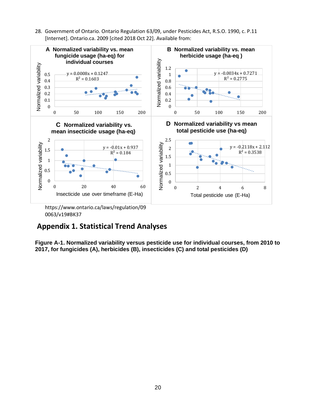28. Government of Ontario. Ontario Regulation 63/09, under Pesticides Act, R.S.O. 1990, c. P.11 [Internet]. Ontario.ca. 2009 [cited 2018 Oct 22]. Available from:



0063/v19#BK37

# **Appendix 1. Statistical Trend Analyses**

**Figure A-1. Normalized variability versus pesticide use for individual courses, from 2010 to 2017, for fungicides (A), herbicides (B), insecticides (C) and total pesticides (D)**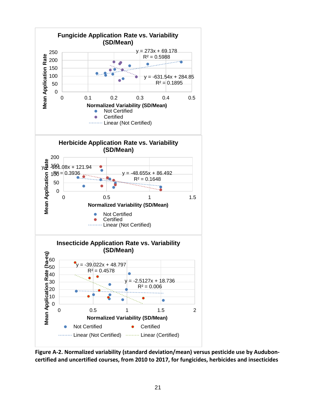

**Figure A-2. Normalized variability (standard deviation/mean) versus pesticide use by Auduboncertified and uncertified courses, from 2010 to 2017, for fungicides, herbicides and insecticides**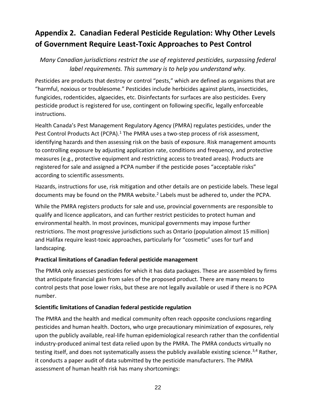# **Appendix 2. Canadian Federal Pesticide Regulation: Why Other Levels of Government Require Least-Toxic Approaches to Pest Control**

### *Many Canadian jurisdictions restrict the use of registered pesticides, surpassing federal label requirements. This summary is to help you understand why.*

Pesticides are products that destroy or control "pests," which are defined as organisms that are "harmful, noxious or troublesome." Pesticides include herbicides against plants, insecticides, fungicides, rodenticides, algaecides, etc. Disinfectants for surfaces are also pesticides. Every pesticide product is registered for use, contingent on following specific, legally enforceable instructions.

Health Canada's Pest Management Regulatory Agency (PMRA) regulates pesticides, under the Pest Control Products Act (PCPA).<sup>1</sup> The PMRA uses a two-step process of risk assessment, identifying hazards and then assessing risk on the basis of exposure. Risk management amounts to controlling exposure by adjusting application rate, conditions and frequency, and protective measures (e.g., protective equipment and restricting access to treated areas). Products are registered for sale and assigned a PCPA number if the pesticide poses "acceptable risks" according to scientific assessments.

Hazards, instructions for use, risk mitigation and other details are on pesticide labels. These legal documents may be found on the PMRA website.<sup>2</sup> Labels must be adhered to, under the PCPA.

While the PMRA registers products for sale and use, provincial governments are responsible to qualify and licence applicators, and can further restrict pesticides to protect human and environmental health. In most provinces, municipal governments may impose further restrictions. The most progressive jurisdictions such as Ontario (population almost 15 million) and Halifax require least-toxic approaches, particularly for "cosmetic" uses for turf and landscaping.

#### **Practical limitations of Canadian federal pesticide management**

The PMRA only assesses pesticides for which it has data packages. These are assembled by firms that anticipate financial gain from sales of the proposed product. There are many means to control pests that pose lower risks, but these are not legally available or used if there is no PCPA number.

#### **Scientific limitations of Canadian federal pesticide regulation**

The PMRA and the health and medical community often reach opposite conclusions regarding pesticides and human health. Doctors, who urge precautionary minimization of exposures, rely upon the publicly available, real-life human epidemiological research rather than the confidential industry-produced animal test data relied upon by the PMRA. The PMRA conducts virtually no testing itself, and does not systematically assess the publicly available existing science.<sup>3,4</sup> Rather, it conducts a paper audit of data submitted by the pesticide manufacturers. The PMRA assessment of human health risk has many shortcomings: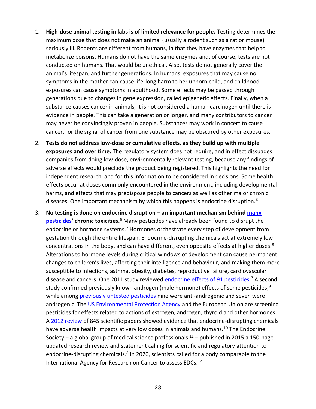- 1. **High-dose animal testing in labs is of limited relevance for people.** Testing determines the maximum dose that does not make an animal (usually a rodent such as a rat or mouse) seriously ill. Rodents are different from humans, in that they have enzymes that help to metabolize poisons. Humans do not have the same enzymes and, of course, tests are not conducted on humans. That would be unethical. Also, tests do not generally cover the animal's lifespan, and further generations. In humans, exposures that may cause no symptoms in the mother can cause life-long harm to her unborn child, and childhood exposures can cause symptoms in adulthood. Some effects may be passed through generations due to changes in gene expression, called epigenetic effects. Finally, when a substance causes cancer in animals, it is not considered a human carcinogen until there is evidence in people. This can take a generation or longer, and many contributors to cancer may never be convincingly proven in people. Substances may work in concert to cause cancer,<sup>5</sup> or the signal of cancer from one substance may be obscured by other exposures.
- 2. **Tests do not address low-dose or cumulative effects, as they build up with multiple exposures and over time.** The regulatory system does not require, and in effect dissuades companies from doing low-dose, environmentally relevant testing, because any findings of adverse effects would preclude the product being registered. This highlights the need for independent research, and for this information to be considered in decisions. Some health effects occur at doses commonly encountered in the environment, including developmental harms, and effects that may predispose people to cancers as well as other major chronic diseases. One important mechanism by which this happens is endocrine disruption.<sup>6</sup>
- 3. **No testing is done on endocrine disruption – an important mechanism behin[d many](http://www.ncbi.nlm.nih.gov/pmc/articles/PMC3138025/)  [pesticides](http://www.ncbi.nlm.nih.gov/pmc/articles/PMC3138025/)' chronic toxicities.**<sup>6</sup> Many pesticides have already been found to disrupt the endocrine or hormone systems.<sup>7</sup> Hormones orchestrate every step of development from gestation through the entire lifespan. Endocrine-disrupting chemicals act at extremely low concentrations in the body, and can have different, even opposite effects at higher doses. $8$ Alterations to hormone levels during critical windows of development can cause permanent changes to children's lives, affecting their intelligence and behaviour, and making them more susceptible to infections, asthma, obesity, diabetes, reproductive failure, cardiovascular disease and cancers. One 2011 study reviewed **endocrine effects of 91 pesticides**.<sup>7</sup> A second study confirmed previously known androgen (male hormone) effects of some pesticides, $9$ while among [previously untested pesticides](http://www.ncbi.nlm.nih.gov/pmc/articles/PMC3114813/) nine were anti-androgenic and seven were androgenic. The [US Environmental Protection Agency](http://www.epa.gov/endo/) and the European Union are screening pesticides for effects related to actions of estrogen, androgen, thyroid and other hormones. A [2012 review](http://www.ncbi.nlm.nih.gov/pmc/articles/PMC3365860/) of 845 scientific papers showed evidence that endocrine-disrupting chemicals have adverse health impacts at very low doses in animals and humans.<sup>10</sup> The Endocrine Society – a global group of medical science professionals  $11$  – published in 2015 a 150-page updated research review and statement calling for scientific and regulatory attention to endocrine-disrupting chemicals.<sup>8</sup> In 2020, scientists called for a body comparable to the International Agency for Research on Cancer to assess EDCs. $^{12}$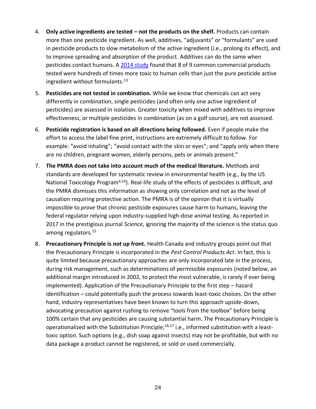- 4. **Only active ingredients are tested – not the products on the shelf.** Products can contain more than one pesticide ingredient. As well, additives, "adjuvants" or "formulants" are used in pesticide products to slow metabolism of the active ingredient (i.e., prolong its effect), and to improve spreading and absorption of the product. Additives can do the same when pesticides contact humans. A [2014 study](http://www.hindawi.com/journals/bmri/2014/179691/) found that 8 of 9 common commercial products tested were hundreds of times more toxic to human cells than just the pure pesticide active ingredient without formulants.<sup>13</sup>
- 5. **Pesticides are not tested in combination.** While we know that chemicals can act very differently in combination, single pesticides (and often only one active ingredient of pesticides) are assessed in isolation. Greater toxicity when mixed with additives to improve effectiveness, or multiple pesticides in combination (as on a golf course), are not assessed.
- 6. **Pesticide registration is based on all directions being followed.** Even if people make the effort to access the label fine print, instructions are extremely difficult to follow. For example: "avoid inhaling"; "avoid contact with the skin or eyes"; and "apply only when there are no children, pregnant women, elderly persons, pets or animals present."
- 7. **The PMRA does not take into account much of the medical literature.** Methods and standards are developed for systematic review in environmental health (e.g., by the US National Toxicology Program<sup>4,14</sup>). Real-life study of the effects of pesticides is difficult, and the PMRA dismisses this information as showing only correlation and not as the level of causation requiring protective action. The PMRA is of the opinion that it is virtually impossible to *prove* that chronic pesticide exposures cause harm to humans, leaving the federal regulator relying upon industry-supplied high-dose animal testing. As reported in 2017 in the prestigious journal *Science*, ignoring the majority of the science is the status quo among regulators.<sup>15</sup>
- 8. **Precautionary Principle is** *not* **up front.** Health Canada and industry groups point out that the Precautionary Principle is incorporated in the *Pest Control Products Act*. In fact, this is quite limited because precautionary approaches are only incorporated late in the process, during risk management, such as determinations of permissible exposures (noted below, an additional margin introduced in 2002, to protect the most vulnerable, is rarely if ever being implemented). Application of the Precautionary Principle to the first step – hazard identification – could potentially push the process towards least-toxic choices. On the other hand, industry representatives have been known to turn this approach upside-down, advocating precaution against rushing to remove "tools from the toolbox" before being 100% certain that any pesticides are causing substantial harm. The Precautionary Principle is operationalized with the Substitution Principle;<sup>16,17</sup> i.e., informed substitution with a leasttoxic option. Such options (e.g., dish soap against insects) may not be profitable, but with no data package a product cannot be registered, or sold or used commercially.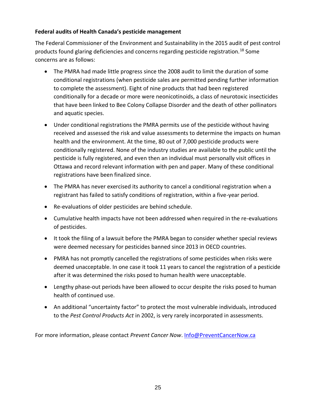#### **Federal audits of Health Canada's pesticide management**

The Federal Commissioner of the Environment and Sustainability in the 2015 audit of pest control products found glaring deficiencies and concerns regarding pesticide registration.<sup>18</sup> Some concerns are as follows:

- The PMRA had made little progress since the 2008 audit to limit the duration of some conditional registrations (when pesticide sales are permitted pending further information to complete the assessment). Eight of nine products that had been registered conditionally for a decade or more were neonicotinoids, a class of neurotoxic insecticides that have been linked to Bee Colony Collapse Disorder and the death of other pollinators and aquatic species.
- Under conditional registrations the PMRA permits use of the pesticide without having received and assessed the risk and value assessments to determine the impacts on human health and the environment. At the time, 80 out of 7,000 pesticide products were conditionally registered. None of the industry studies are available to the public until the pesticide is fully registered, and even then an individual must personally visit offices in Ottawa and record relevant information with pen and paper. Many of these conditional registrations have been finalized since.
- The PMRA has never exercised its authority to cancel a conditional registration when a registrant has failed to satisfy conditions of registration, within a five-year period.
- Re-evaluations of older pesticides are behind schedule.
- Cumulative health impacts have not been addressed when required in the re-evaluations of pesticides.
- It took the filing of a lawsuit before the PMRA began to consider whether special reviews were deemed necessary for pesticides banned since 2013 in OECD countries.
- PMRA has not promptly cancelled the registrations of some pesticides when risks were deemed unacceptable. In one case it took 11 years to cancel the registration of a pesticide after it was determined the risks posed to human health were unacceptable.
- Lengthy phase-out periods have been allowed to occur despite the risks posed to human health of continued use.
- An additional "uncertainty factor" to protect the most vulnerable individuals, introduced to the *Pest Control Products Act* in 2002, is very rarely incorporated in assessments.

For more information, please contact *Prevent Cancer Now*. [Info@PreventCancerNow.ca](mailto:Info@PreventCancerNow.ca)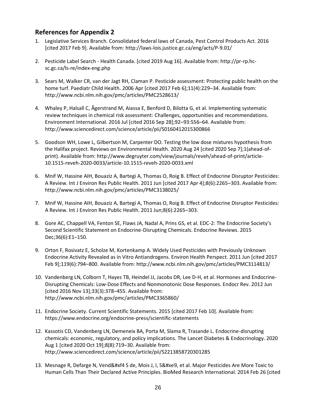### **References for Appendix 2**

- 1. Legislative Services Branch. Consolidated federal laws of Canada, Pest Control Products Act. 2016 [cited 2017 Feb 9]. Available from: http://laws-lois.justice.gc.ca/eng/acts/P-9.01/
- 2. Pesticide Label Search Health Canada. [cited 2019 Aug 16]. Available from: http://pr-rp.hcsc.gc.ca/ls-re/index-eng.php
- 3. Sears M, Walker CR, van der Jagt RH, Claman P. Pesticide assessment: Protecting public health on the home turf. Paediatr Child Health. 2006 Apr [cited 2017 Feb 6];11(4):229-34. Available from: http://www.ncbi.nlm.nih.gov/pmc/articles/PMC2528613/
- 4. Whaley P, Halsall C, Ågerstrand M, Aiassa E, Benford D, Bilotta G, et al. Implementing systematic review techniques in chemical risk assessment: Challenges, opportunities and recommendations. Environment International. 2016 Jul [cited 2016 Sep 28];92–93:556–64. Available from: http://www.sciencedirect.com/science/article/pii/S0160412015300866
- 5. Goodson WH, Lowe L, Gilbertson M, Carpenter DO. Testing the low dose mixtures hypothesis from the Halifax project. Reviews on Environmental Health. 2020 Aug 24 [cited 2020 Sep 7];1(ahead-ofprint). Available from: http://www.degruyter.com/view/journals/reveh/ahead-of-print/article-10.1515-reveh-2020-0033/article-10.1515-reveh-2020-0033.xml
- 6. Mnif W, Hassine AIH, Bouaziz A, Bartegi A, Thomas O, Roig B. Effect of Endocrine Disruptor Pesticides: A Review. Int J Environ Res Public Health. 2011 Jun [cited 2017 Apr 4];8(6):2265–303. Available from: http://www.ncbi.nlm.nih.gov/pmc/articles/PMC3138025/
- 7. Mnif W, Hassine AIH, Bouaziz A, Bartegi A, Thomas O, Roig B. Effect of Endocrine Disruptor Pesticides: A Review. Int J Environ Res Public Health. 2011 Jun;8(6):2265–303.
- 8. Gore AC, Chappell VA, Fenton SE, Flaws JA, Nadal A, Prins GS, et al. EDC-2: The Endocrine Society's Second Scientific Statement on Endocrine-Disrupting Chemicals. Endocrine Reviews. 2015 Dec;36(6):E1–150.
- 9. Orton F, Rosivatz E, Scholze M, Kortenkamp A. Widely Used Pesticides with Previously Unknown Endocrine Activity Revealed as in Vitro Antiandrogens. Environ Health Perspect. 2011 Jun [cited 2017 Feb 9];119(6):794–800. Available from: http://www.ncbi.nlm.nih.gov/pmc/articles/PMC3114813/
- 10. Vandenberg LN, Colborn T, Hayes TB, Heindel JJ, Jacobs DR, Lee D-H, et al. Hormones and Endocrine-Disrupting Chemicals: Low-Dose Effects and Nonmonotonic Dose Responses. Endocr Rev. 2012 Jun [cited 2016 Nov 13];33(3):378–455. Available from: http://www.ncbi.nlm.nih.gov/pmc/articles/PMC3365860/
- 11. Endocrine Society. Current Scientific Statements. 2015 [cited 2017 Feb 10]. Available from: https://www.endocrine.org/endocrine-press/scientific-statements
- 12. Kassotis CD, Vandenberg LN, Demeneix BA, Porta M, Slama R, Trasande L. Endocrine-disrupting chemicals: economic, regulatory, and policy implications. The Lancet Diabetes & Endocrinology. 2020 Aug 1 [cited 2020 Oct 19];8(8):719–30. Available from: http://www.sciencedirect.com/science/article/pii/S2213858720301285
- 13. Mesnage R, Defarge N, Vend&#xf4 S de, Mois J, l, S&#xe9, et al. Major Pesticides Are More Toxic to Human Cells Than Their Declared Active Principles. BioMed Research International. 2014 Feb 26 [cited